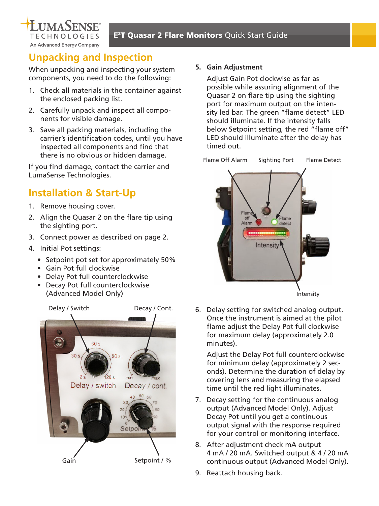

# **Unpacking and Inspection**

When unpacking and inspecting your system components, you need to do the following:

- 1. Check all materials in the container against the enclosed packing list.
- 2. Carefully unpack and inspect all components for visible damage.
- 3. Save all packing materials, including the carrier's identification codes, until you have inspected all components and find that there is no obvious or hidden damage.

If you find damage, contact the carrier and LumaSense Technologies.

## **Installation & Start-Up**

- 1. Remove housing cover.
- 2. Align the Quasar 2 on the flare tip using the sighting port.
- 3. Connect power as described on page 2.
- 4. Initial Pot settings:
	- Setpoint pot set for approximately 50%
	- Gain Pot full clockwise
	- Delay Pot full counterclockwise
	- Decay Pot full counterclockwise (Advanced Model Only)



#### **5. Gain Adjustment**

Adjust Gain Pot clockwise as far as possible while assuring alignment of the Quasar 2 on flare tip using the sighting port for maximum output on the intensity led bar. The green "flame detect" LED should illuminate. If the intensity falls below Setpoint setting, the red "flame off" LED should illuminate after the delay has timed out.



6. Delay setting for switched analog output. Once the instrument is aimed at the pilot flame adjust the Delay Pot full clockwise for maximum delay (approximately 2.0 minutes).

Adjust the Delay Pot full counterclockwise for minimum delay (approximately 2 seconds). Determine the duration of delay by covering lens and measuring the elapsed time until the red light illuminates.

- 7. Decay setting for the continuous analog output (Advanced Model Only). Adjust Decay Pot until you get a continuous output signal with the response required for your control or monitoring interface.
- 8. After adjustment check mA output 4 mA / 20 mA. Switched output & 4 / 20 mA continuous output (Advanced Model Only).
- 9. Reattach housing back.